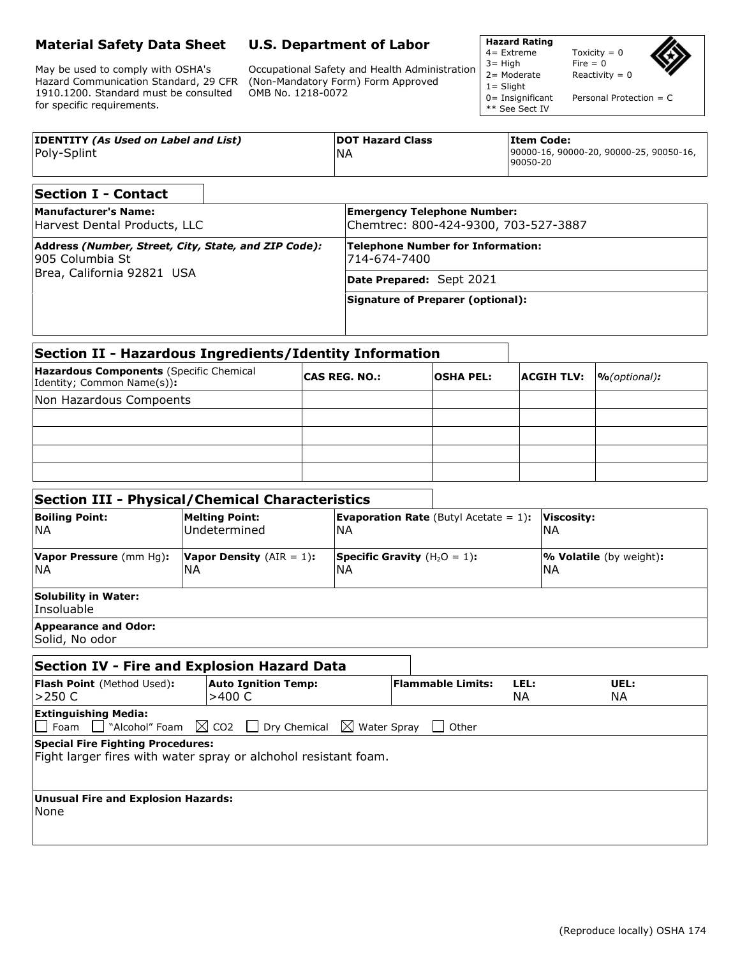## **Material Safety Data Sheet**

May be used to comply with OSHA's Hazard Communication Standard, 29 CFR 1910.1200. Standard must be consulted for specific requirements.

## **U.S. Department of Labor**

Occupational Safety and Health Administration (Non-Mandatory Form) Form Approved OMB No. 1218-0072

**Hazard Rating**

1= Slight

\*\* See Sect IV

Toxicity =  $0$  $3=$  High Fire = 0<br> $2=$  Moderate Reactivit Reactivity =  $0$ 

0 = Insignificant Personal Protection = C

| <b>IDENTITY (As Used on Label and List)</b> | <b>DOT Hazard Class</b> | lItem Code:                                         |
|---------------------------------------------|-------------------------|-----------------------------------------------------|
| Poly-Splint                                 | 'NA                     | 90000-16, 90000-20, 90000-25, 90050-16,<br>90050-20 |

| <b>Section I - Contact</b>                                               |                                                                            |  |  |
|--------------------------------------------------------------------------|----------------------------------------------------------------------------|--|--|
| <b>Manufacturer's Name:</b><br>Harvest Dental Products, LLC              | <b>Emergency Telephone Number:</b><br>Chemtrec: 800-424-9300, 703-527-3887 |  |  |
| Address (Number, Street, City, State, and ZIP Code):<br>1905 Columbia St | Telephone Number for Information:<br>714-674-7400                          |  |  |
| Brea, California 92821 USA                                               | Date Prepared: Sept 2021                                                   |  |  |
|                                                                          | Signature of Preparer (optional):                                          |  |  |

| Section II - Hazardous Ingredients/Identity Information               |                      |                  |                   |                  |
|-----------------------------------------------------------------------|----------------------|------------------|-------------------|------------------|
| Hazardous Components (Specific Chemical<br>Identity; Common Name(s)): | <b>CAS REG. NO.:</b> | <b>OSHA PEL:</b> | <b>ACGIH TLV:</b> | $\%$ (optional): |
| Non Hazardous Compoents                                               |                      |                  |                   |                  |
|                                                                       |                      |                  |                   |                  |
|                                                                       |                      |                  |                   |                  |
|                                                                       |                      |                  |                   |                  |
|                                                                       |                      |                  |                   |                  |

## **Section III - Physical/Chemical Characteristics**

| <b>Boiling Point:</b>                         | <b>Melting Point:</b>              | <b>Evaporation Rate</b> (Butyl Acetate $= 1$ ): | Viscosity:                     |
|-----------------------------------------------|------------------------------------|-------------------------------------------------|--------------------------------|
| <b>NA</b>                                     | Undetermined                       | ΝA                                              | INA                            |
| Vapor Pressure (mm Hq):                       | <b>Vapor Density</b> $(AIR = 1)$ : | <b>Specific Gravity</b> $(H_2O = 1)$ :          | <b>% Volatile</b> (by weight): |
| <b>INA</b>                                    | 'NΑ                                | ΝA                                              | INA                            |
| Solubility in Water:<br>Insoluable            |                                    |                                                 |                                |
| <b>Appearance and Odor:</b><br>Solid, No odor |                                    |                                                 |                                |

| Section IV - Fire and Explosion Hazard Data        |                                                                                                            |                          |             |             |
|----------------------------------------------------|------------------------------------------------------------------------------------------------------------|--------------------------|-------------|-------------|
| Flash Point (Method Used):<br>l>250 C              | <b>Auto Ignition Temp:</b><br>>400 C                                                                       | <b>Flammable Limits:</b> | LEL:<br>NA. | UEL:<br>NA. |
| <b>Extinguishing Media:</b>                        | $\Box$ Foam $\Box$ "Alcohol" Foam $\boxtimes$ CO2 $\Box$ Dry Chemical $\boxtimes$ Water Spray $\Box$ Other |                          |             |             |
| Special Fire Fighting Procedures:                  | Fight larger fires with water spray or alchohol resistant foam.                                            |                          |             |             |
| Unusual Fire and Explosion Hazards:<br><b>None</b> |                                                                                                            |                          |             |             |
|                                                    |                                                                                                            |                          |             |             |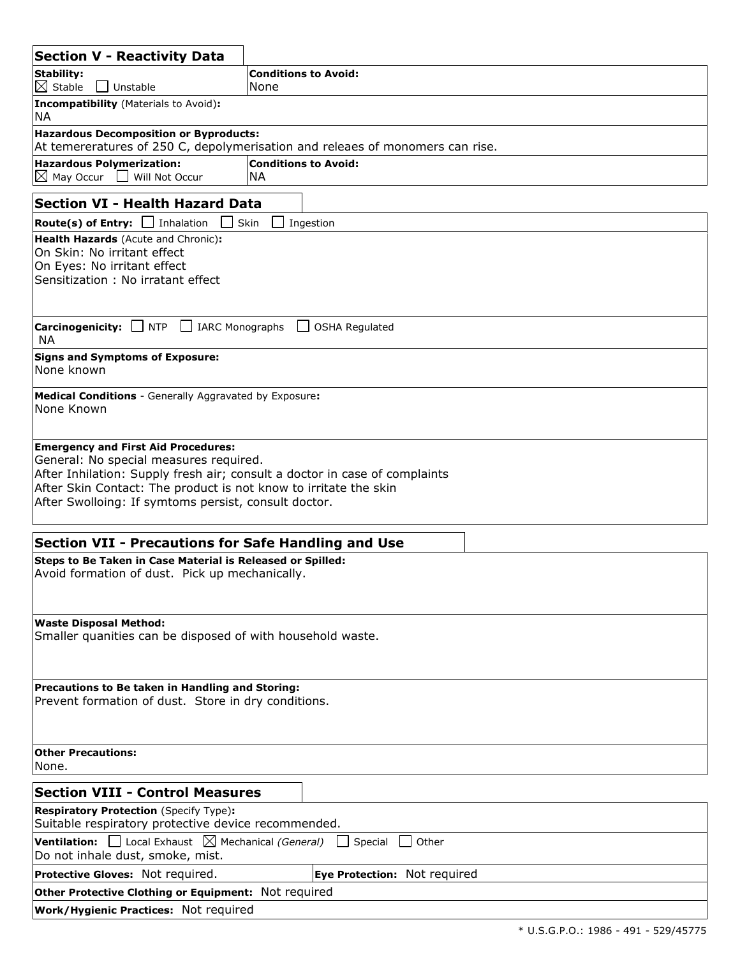| <b>Section V - Reactivity Data</b>                                                                                                                                                                                                                                                             |                                                                               |  |
|------------------------------------------------------------------------------------------------------------------------------------------------------------------------------------------------------------------------------------------------------------------------------------------------|-------------------------------------------------------------------------------|--|
| Stability:<br>$\boxtimes$ Stable<br>Unstable                                                                                                                                                                                                                                                   | <b>Conditions to Avoid:</b><br>None                                           |  |
| Incompatibility (Materials to Avoid):<br>NA                                                                                                                                                                                                                                                    |                                                                               |  |
| <b>Hazardous Decomposition or Byproducts:</b>                                                                                                                                                                                                                                                  |                                                                               |  |
|                                                                                                                                                                                                                                                                                                | At temereratures of 250 C, depolymerisation and releaes of monomers can rise. |  |
| <b>Hazardous Polymerization:</b><br>May Occur<br>Will Not Occur<br>$\boxtimes$                                                                                                                                                                                                                 | <b>Conditions to Avoid:</b><br><b>NA</b>                                      |  |
| <b>Section VI - Health Hazard Data</b>                                                                                                                                                                                                                                                         |                                                                               |  |
| <b>Route(s) of Entry:</b> $\Box$ Inhalation                                                                                                                                                                                                                                                    | Ingestion<br>Skin                                                             |  |
| <b>Health Hazards</b> (Acute and Chronic):<br>On Skin: No irritant effect<br>On Eyes: No irritant effect<br>Sensitization: No irratant effect                                                                                                                                                  |                                                                               |  |
| Carcinogenicity: NTP<br>$\mathbf{1}$<br><b>IARC Monographs</b><br><b>NA</b>                                                                                                                                                                                                                    | <b>OSHA Regulated</b><br>$\mathsf{L}$                                         |  |
| <b>Signs and Symptoms of Exposure:</b><br>None known                                                                                                                                                                                                                                           |                                                                               |  |
| <b>Medical Conditions</b> - Generally Aggravated by Exposure:<br>None Known                                                                                                                                                                                                                    |                                                                               |  |
| <b>Emergency and First Aid Procedures:</b><br>General: No special measures required.<br>After Inhilation: Supply fresh air; consult a doctor in case of complaints<br>After Skin Contact: The product is not know to irritate the skin<br>After Swolloing: If symtoms persist, consult doctor. |                                                                               |  |
| <b>Section VII - Precautions for Safe Handling and Use</b>                                                                                                                                                                                                                                     |                                                                               |  |
| Steps to Be Taken in Case Material is Released or Spilled:<br>Avoid formation of dust. Pick up mechanically.                                                                                                                                                                                   |                                                                               |  |
| <b>Waste Disposal Method:</b><br>Smaller quanities can be disposed of with household waste.                                                                                                                                                                                                    |                                                                               |  |
| Precautions to Be taken in Handling and Storing:<br>Prevent formation of dust. Store in dry conditions.                                                                                                                                                                                        |                                                                               |  |
| <b>Other Precautions:</b><br>None.                                                                                                                                                                                                                                                             |                                                                               |  |
| <b>Section VIII - Control Measures</b>                                                                                                                                                                                                                                                         |                                                                               |  |
| <b>Respiratory Protection (Specify Type):</b><br>Suitable respiratory protective device recommended.                                                                                                                                                                                           |                                                                               |  |
| <b>Ventilation:</b> $\Box$ Local Exhaust $\boxtimes$ Mechanical (General)<br>Special<br>Other<br>Do not inhale dust, smoke, mist.                                                                                                                                                              |                                                                               |  |
| Protective Gloves: Not required.                                                                                                                                                                                                                                                               | Eye Protection: Not required                                                  |  |
| Other Protective Clothing or Equipment: Not required                                                                                                                                                                                                                                           |                                                                               |  |
| <b>Work/Hygienic Practices: Not required</b>                                                                                                                                                                                                                                                   |                                                                               |  |
|                                                                                                                                                                                                                                                                                                |                                                                               |  |